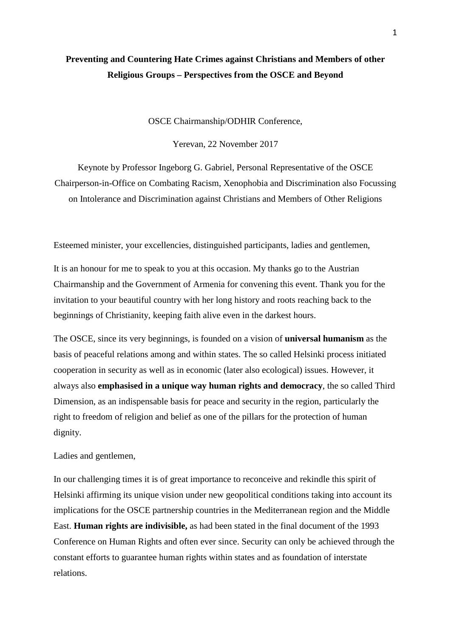## **Preventing and Countering Hate Crimes against Christians and Members of other Religious Groups – Perspectives from the OSCE and Beyond**

OSCE Chairmanship/ODHIR Conference,

Yerevan, 22 November 2017

Keynote by Professor Ingeborg G. Gabriel, Personal Representative of the OSCE Chairperson-in-Office on Combating Racism, Xenophobia and Discrimination also Focussing on Intolerance and Discrimination against Christians and Members of Other Religions

Esteemed minister, your excellencies, distinguished participants, ladies and gentlemen,

It is an honour for me to speak to you at this occasion. My thanks go to the Austrian Chairmanship and the Government of Armenia for convening this event. Thank you for the invitation to your beautiful country with her long history and roots reaching back to the beginnings of Christianity, keeping faith alive even in the darkest hours.

The OSCE, since its very beginnings, is founded on a vision of **universal humanism** as the basis of peaceful relations among and within states. The so called Helsinki process initiated cooperation in security as well as in economic (later also ecological) issues. However, it always also **emphasised in a unique way human rights and democracy**, the so called Third Dimension, as an indispensable basis for peace and security in the region, particularly the right to freedom of religion and belief as one of the pillars for the protection of human dignity.

Ladies and gentlemen,

In our challenging times it is of great importance to reconceive and rekindle this spirit of Helsinki affirming its unique vision under new geopolitical conditions taking into account its implications for the OSCE partnership countries in the Mediterranean region and the Middle East. **Human rights are indivisible,** as had been stated in the final document of the 1993 Conference on Human Rights and often ever since. Security can only be achieved through the constant efforts to guarantee human rights within states and as foundation of interstate relations.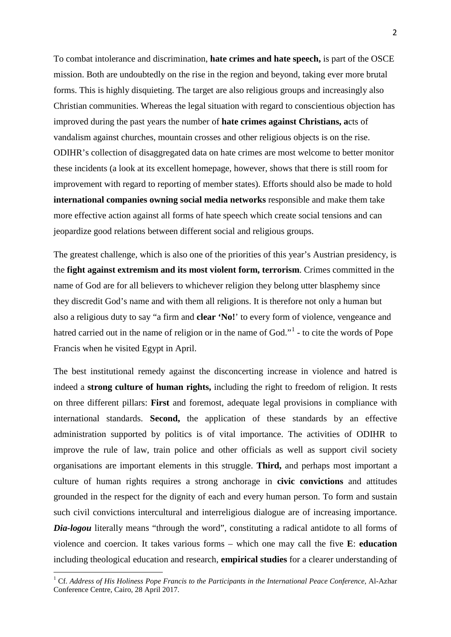To combat intolerance and discrimination, **hate crimes and hate speech,** is part of the OSCE mission. Both are undoubtedly on the rise in the region and beyond, taking ever more brutal forms. This is highly disquieting. The target are also religious groups and increasingly also Christian communities. Whereas the legal situation with regard to conscientious objection has improved during the past years the number of **hate crimes against Christians, a**cts of vandalism against churches, mountain crosses and other religious objects is on the rise. ODIHR's collection of disaggregated data on hate crimes are most welcome to better monitor these incidents (a look at its excellent homepage, however, shows that there is still room for improvement with regard to reporting of member states). Efforts should also be made to hold **international companies owning social media networks** responsible and make them take more effective action against all forms of hate speech which create social tensions and can jeopardize good relations between different social and religious groups.

The greatest challenge, which is also one of the priorities of this year's Austrian presidency, is the **fight against extremism and its most violent form, terrorism**. Crimes committed in the name of God are for all believers to whichever religion they belong utter blasphemy since they discredit God's name and with them all religions. It is therefore not only a human but also a religious duty to say "a firm and **clear 'No!**' to every form of violence, vengeance and hatred carried out in the name of religion or in the name of God."<sup>[1](#page-1-0)</sup> - to cite the words of Pope Francis when he visited Egypt in April.

The best institutional remedy against the disconcerting increase in violence and hatred is indeed a **strong culture of human rights,** including the right to freedom of religion. It rests on three different pillars: **First** and foremost, adequate legal provisions in compliance with international standards. **Second,** the application of these standards by an effective administration supported by politics is of vital importance. The activities of ODIHR to improve the rule of law, train police and other officials as well as support civil society organisations are important elements in this struggle. **Third,** and perhaps most important a culture of human rights requires a strong anchorage in **civic convictions** and attitudes grounded in the respect for the dignity of each and every human person. To form and sustain such civil convictions intercultural and interreligious dialogue are of increasing importance. *Dia-logou* literally means "through the word", constituting a radical antidote to all forms of violence and coercion. It takes various forms – which one may call the five **E**: **education**  including theological education and research, **empirical studies** for a clearer understanding of

<span id="page-1-0"></span><sup>1</sup> Cf. *Address of His Holiness Pope Francis to the Participants in the International Peace Conference,* Al-Azhar Conference Centre, Cairo, 28 April 2017.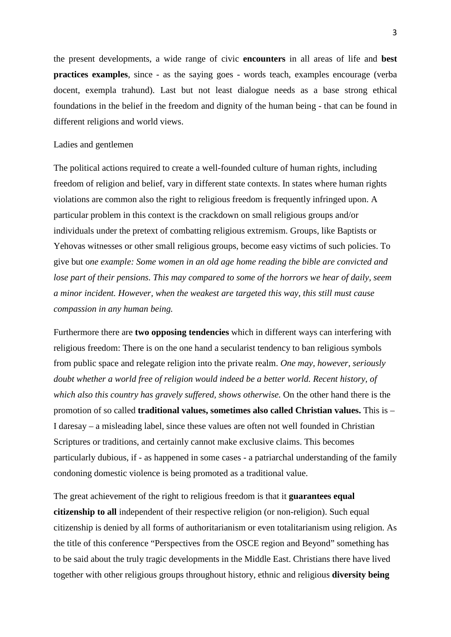the present developments, a wide range of civic **encounters** in all areas of life and **best practices examples**, since - as the saying goes - words teach, examples encourage (verba docent, exempla trahund). Last but not least dialogue needs as a base strong ethical foundations in the belief in the freedom and dignity of the human being - that can be found in different religions and world views.

## Ladies and gentlemen

The political actions required to create a well-founded culture of human rights, including freedom of religion and belief, vary in different state contexts. In states where human rights violations are common also the right to religious freedom is frequently infringed upon. A particular problem in this context is the crackdown on small religious groups and/or individuals under the pretext of combatting religious extremism. Groups, like Baptists or Yehovas witnesses or other small religious groups, become easy victims of such policies. To give but o*ne example: Some women in an old age home reading the bible are convicted and lose part of their pensions. This may compared to some of the horrors we hear of daily, seem a minor incident. However, when the weakest are targeted this way, this still must cause compassion in any human being.*

Furthermore there are **two opposing tendencies** which in different ways can interfering with religious freedom: There is on the one hand a secularist tendency to ban religious symbols from public space and relegate religion into the private realm. *One may, however, seriously doubt whether a world free of religion would indeed be a better world. Recent history, of which also this country has gravely suffered, shows otherwise.* On the other hand there is the promotion of so called **traditional values, sometimes also called Christian values.** This is – I daresay – a misleading label, since these values are often not well founded in Christian Scriptures or traditions, and certainly cannot make exclusive claims. This becomes particularly dubious, if - as happened in some cases - a patriarchal understanding of the family condoning domestic violence is being promoted as a traditional value.

The great achievement of the right to religious freedom is that it **guarantees equal citizenship to all** independent of their respective religion (or non-religion). Such equal citizenship is denied by all forms of authoritarianism or even totalitarianism using religion. As the title of this conference "Perspectives from the OSCE region and Beyond" something has to be said about the truly tragic developments in the Middle East. Christians there have lived together with other religious groups throughout history, ethnic and religious **diversity being**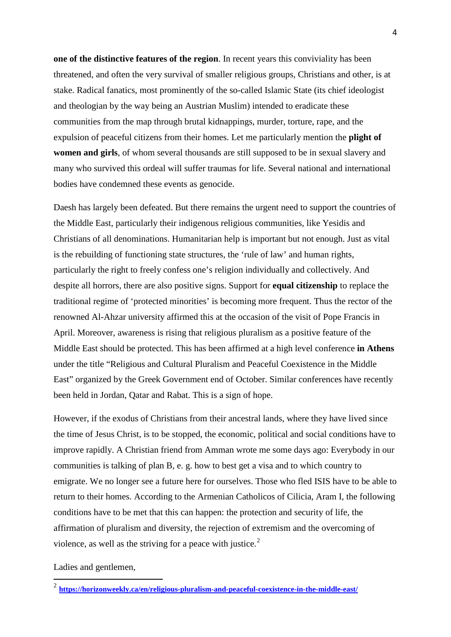**one of the distinctive features of the region**. In recent years this conviviality has been threatened, and often the very survival of smaller religious groups, Christians and other, is at stake. Radical fanatics, most prominently of the so-called Islamic State (its chief ideologist and theologian by the way being an Austrian Muslim) intended to eradicate these communities from the map through brutal kidnappings, murder, torture, rape, and the expulsion of peaceful citizens from their homes. Let me particularly mention the **plight of women and girls**, of whom several thousands are still supposed to be in sexual slavery and many who survived this ordeal will suffer traumas for life. Several national and international bodies have condemned these events as genocide.

Daesh has largely been defeated. But there remains the urgent need to support the countries of the Middle East, particularly their indigenous religious communities, like Yesidis and Christians of all denominations. Humanitarian help is important but not enough. Just as vital is the rebuilding of functioning state structures, the 'rule of law' and human rights, particularly the right to freely confess one's religion individually and collectively. And despite all horrors, there are also positive signs. Support for **equal citizenship** to replace the traditional regime of 'protected minorities' is becoming more frequent. Thus the rector of the renowned Al-Ahzar university affirmed this at the occasion of the visit of Pope Francis in April. Moreover, awareness is rising that religious pluralism as a positive feature of the Middle East should be protected. This has been affirmed at a high level conference **in Athens** under the title "Religious and Cultural Pluralism and Peaceful Coexistence in the Middle East" organized by the Greek Government end of October. Similar conferences have recently been held in Jordan, [Qatar](http://www.aljazeera.com/topics/country/qatar.html) and Rabat. This is a sign of hope.

However, if the exodus of Christians from their ancestral lands, where they have lived since the time of Jesus Christ, is to be stopped, the economic, political and social conditions have to improve rapidly. A Christian friend from Amman wrote me some days ago: Everybody in our communities is talking of plan B, e. g. how to best get a visa and to which country to emigrate. We no longer see a future here for ourselves. Those who fled ISIS have to be able to return to their homes. According to the Armenian Catholicos of Cilicia, Aram I, the following conditions have to be met that this can happen: the protection and security of life, the affirmation of pluralism and diversity, the rejection of extremism and the overcoming of violence, as well as the striving for a peace with justice. $<sup>2</sup>$  $<sup>2</sup>$  $<sup>2</sup>$ </sup>

Ladies and gentlemen,

<span id="page-3-0"></span><sup>2</sup> **<https://horizonweekly.ca/en/religious-pluralism-and-peaceful-coexistence-in-the-middle-east/>**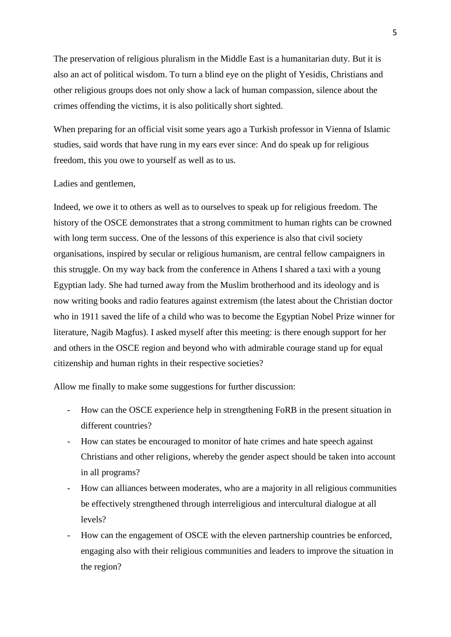The preservation of religious pluralism in the Middle East is a humanitarian duty. But it is also an act of political wisdom. To turn a blind eye on the plight of Yesidis, Christians and other religious groups does not only show a lack of human compassion, silence about the crimes offending the victims, it is also politically short sighted.

When preparing for an official visit some years ago a Turkish professor in Vienna of Islamic studies, said words that have rung in my ears ever since: And do speak up for religious freedom, this you owe to yourself as well as to us.

## Ladies and gentlemen,

Indeed, we owe it to others as well as to ourselves to speak up for religious freedom. The history of the OSCE demonstrates that a strong commitment to human rights can be crowned with long term success. One of the lessons of this experience is also that civil society organisations, inspired by secular or religious humanism, are central fellow campaigners in this struggle. On my way back from the conference in Athens I shared a taxi with a young Egyptian lady. She had turned away from the Muslim brotherhood and its ideology and is now writing books and radio features against extremism (the latest about the Christian doctor who in 1911 saved the life of a child who was to become the Egyptian Nobel Prize winner for literature, Nagib Magfus). I asked myself after this meeting: is there enough support for her and others in the OSCE region and beyond who with admirable courage stand up for equal citizenship and human rights in their respective societies?

Allow me finally to make some suggestions for further discussion:

- How can the OSCE experience help in strengthening FoRB in the present situation in different countries?
- How can states be encouraged to monitor of hate crimes and hate speech against Christians and other religions, whereby the gender aspect should be taken into account in all programs?
- How can alliances between moderates, who are a majority in all religious communities be effectively strengthened through interreligious and intercultural dialogue at all levels?
- How can the engagement of OSCE with the eleven partnership countries be enforced, engaging also with their religious communities and leaders to improve the situation in the region?